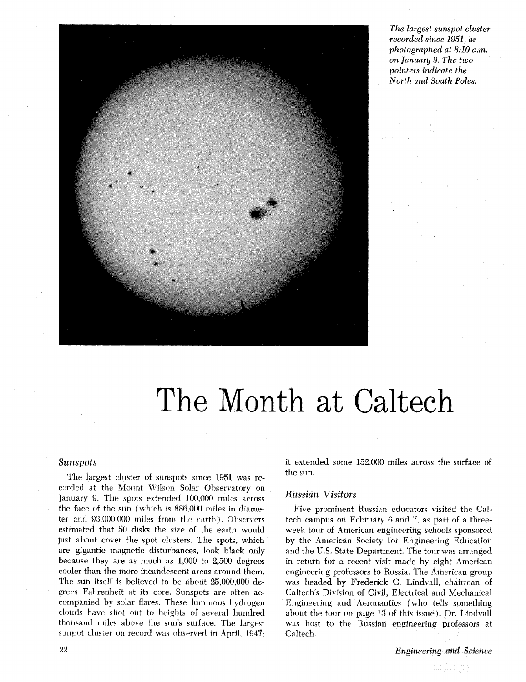

*The largest sunspot cluster recorded since 1951, as photographed at 8:10* **u**  *.m. on January 9. The two pointers indicate the North* and *South Poles.* 

## The Month at Caltech

## **Sunspots**

The largest cluster of sunspots since 1951 was recorded at the Mount Wilson Solar Observatory on January 9. The spots extended 100,000 miles across the face of the sun (which is 886,000 miles in diameter and 93,000,000 miles from the earth). Observers estimated that 50 disks the size of the earth would just about cover the spot clusters. The spots, which are gigantic magnetic disturbances, look black only because they are as much as 1,000 to 2,500 degrees cooler than the more incandescent areas around them. The sun itself is believed to be about 25,000,000 degrees Fahrenheit at its core. Sunspots are often accompanied by solar flares. These luminous hydrogen clouds have shot out to heights of several hundred thousand miles above the sun's surface. The largest sunpot cluster on record was observed in April, 1947; it extended some 152,000 miles across the surface of the sun

## **Russian Visitors**

Five prominent Russian educators visited the **Cal**tech campus on February 6 and 7, as part of a threeweek tour **of** American engineering schools sponsored by the American Society for Engineering Education and the U.S. State Department. The tour was arranged in return for a recent visit made by eight American engineering professors to Russia. The American group was headed by Frederick **C.** Lindvall, chairman of Caltech's Division of Civil, Electrical and Mechanical Engineering and Aeronautics ( who tells something about the tour on page 13 of this issue). Dr. Lindvall was host to the Russian engineering professors at Caltech.